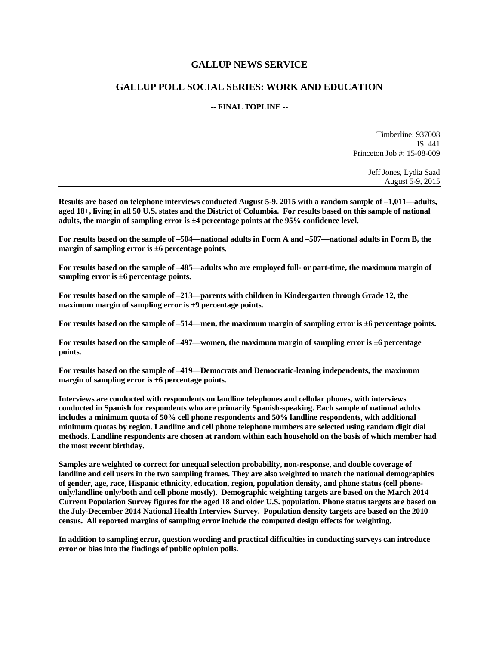## **GALLUP NEWS SERVICE**

## **GALLUP POLL SOCIAL SERIES: WORK AND EDUCATION**

#### **-- FINAL TOPLINE --**

Timberline: 937008 IS: 441 Princeton Job #: 15-08-009

> Jeff Jones, Lydia Saad August 5-9, 2015

**Results are based on telephone interviews conducted August 5-9, 2015 with a random sample of –1,011—adults, aged 18+, living in all 50 U.S. states and the District of Columbia. For results based on this sample of national adults, the margin of sampling error is ±4 percentage points at the 95% confidence level.** 

**For results based on the sample of –504—national adults in Form A and –507—national adults in Form B, the margin of sampling error is ±6 percentage points.**

**For results based on the sample of –485—adults who are employed full- or part-time, the maximum margin of sampling error is ±6 percentage points.**

**For results based on the sample of –213—parents with children in Kindergarten through Grade 12, the maximum margin of sampling error is ±9 percentage points.**

**For results based on the sample of –514—men, the maximum margin of sampling error is ±6 percentage points.**

**For results based on the sample of –497—women, the maximum margin of sampling error is ±6 percentage points.**

**For results based on the sample of –419—Democrats and Democratic-leaning independents, the maximum margin of sampling error is ±6 percentage points.**

**Interviews are conducted with respondents on landline telephones and cellular phones, with interviews conducted in Spanish for respondents who are primarily Spanish-speaking. Each sample of national adults includes a minimum quota of 50% cell phone respondents and 50% landline respondents, with additional minimum quotas by region. Landline and cell phone telephone numbers are selected using random digit dial methods. Landline respondents are chosen at random within each household on the basis of which member had the most recent birthday.**

**Samples are weighted to correct for unequal selection probability, non-response, and double coverage of landline and cell users in the two sampling frames. They are also weighted to match the national demographics of gender, age, race, Hispanic ethnicity, education, region, population density, and phone status (cell phoneonly/landline only/both and cell phone mostly). Demographic weighting targets are based on the March 2014 Current Population Survey figures for the aged 18 and older U.S. population. Phone status targets are based on the July-December 2014 National Health Interview Survey. Population density targets are based on the 2010 census. All reported margins of sampling error include the computed design effects for weighting.** 

**In addition to sampling error, question wording and practical difficulties in conducting surveys can introduce error or bias into the findings of public opinion polls.**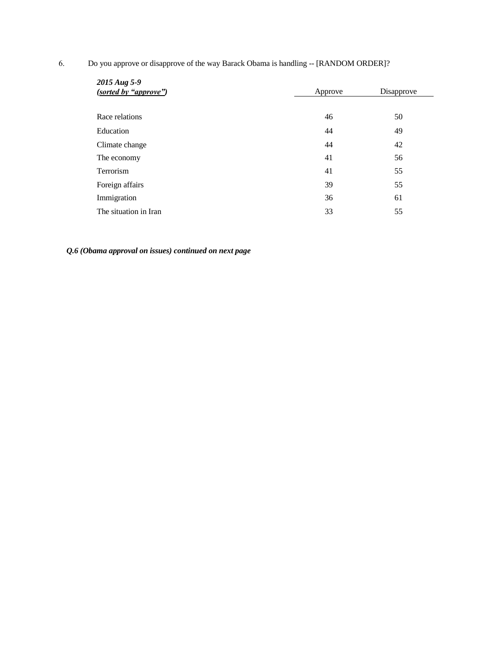6. Do you approve or disapprove of the way Barack Obama is handling -- [RANDOM ORDER]?

| 2015 Aug 5-9<br>(sorted by "approve") | Approve | Disapprove |
|---------------------------------------|---------|------------|
| Race relations                        | 46      | 50         |
| Education                             | 44      | 49         |
| Climate change                        | 44      | 42         |
| The economy                           | 41      | 56         |
| Terrorism                             | 41      | 55         |
| Foreign affairs                       | 39      | 55         |
| Immigration                           | 36      | 61         |
| The situation in Iran                 | 33      | 55         |

*Q.6 (Obama approval on issues) continued on next page*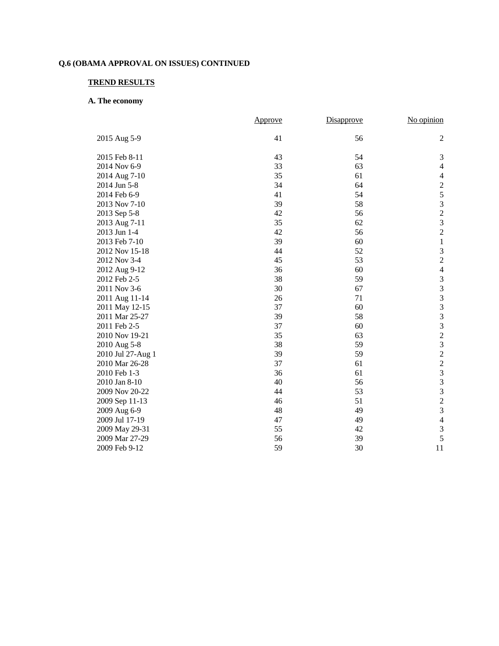### **TREND RESULTS**

### **A. The economy**

|                   | Approve | Disapprove | No opinion                                      |
|-------------------|---------|------------|-------------------------------------------------|
| 2015 Aug 5-9      | 41      | 56         | $\overline{2}$                                  |
| 2015 Feb 8-11     | 43      | 54         | 3                                               |
| 2014 Nov 6-9      | 33      | 63         | $\overline{4}$                                  |
| 2014 Aug 7-10     | 35      | 61         | $\overline{4}$                                  |
| 2014 Jun 5-8      | 34      | 64         |                                                 |
| 2014 Feb 6-9      | 41      | 54         | $\begin{array}{c}\n25 \\ 32 \\ 23\n\end{array}$ |
| 2013 Nov 7-10     | 39      | 58         |                                                 |
| 2013 Sep 5-8      | 42      | 56         |                                                 |
| 2013 Aug 7-11     | 35      | 62         |                                                 |
| 2013 Jun 1-4      | 42      | 56         | $\overline{c}$                                  |
| 2013 Feb 7-10     | 39      | 60         | $\,1\,$                                         |
| 2012 Nov 15-18    | 44      | 52         | $\mathfrak{Z}$                                  |
| 2012 Nov 3-4      | 45      | 53         | $\overline{2}$                                  |
| 2012 Aug 9-12     | 36      | 60         | $\overline{4}$                                  |
| 2012 Feb 2-5      | 38      | 59         | 3                                               |
| 2011 Nov 3-6      | 30      | 67         | $\overline{\mathbf{3}}$                         |
| 2011 Aug 11-14    | 26      | 71         | $3333$<br>$3323$                                |
| 2011 May 12-15    | 37      | 60         |                                                 |
| 2011 Mar 25-27    | 39      | 58         |                                                 |
| 2011 Feb 2-5      | 37      | 60         |                                                 |
| 2010 Nov 19-21    | 35      | 63         |                                                 |
| 2010 Aug 5-8      | 38      | 59         |                                                 |
| 2010 Jul 27-Aug 1 | 39      | 59         | $\overline{c}$                                  |
| 2010 Mar 26-28    | 37      | 61         | $\frac{2}{3}$                                   |
| 2010 Feb 1-3      | 36      | 61         |                                                 |
| 2010 Jan 8-10     | 40      | 56         | $\overline{\mathbf{3}}$                         |
| 2009 Nov 20-22    | 44      | 53         | $\overline{3}$                                  |
| 2009 Sep 11-13    | 46      | 51         | $\overline{c}$                                  |
| 2009 Aug 6-9      | 48      | 49         | $\overline{3}$                                  |
| 2009 Jul 17-19    | 47      | 49         | $\overline{4}$                                  |
| 2009 May 29-31    | 55      | 42         | 3                                               |
| 2009 Mar 27-29    | 56      | 39         | $\overline{5}$                                  |
| 2009 Feb 9-12     | 59      | 30         | 11                                              |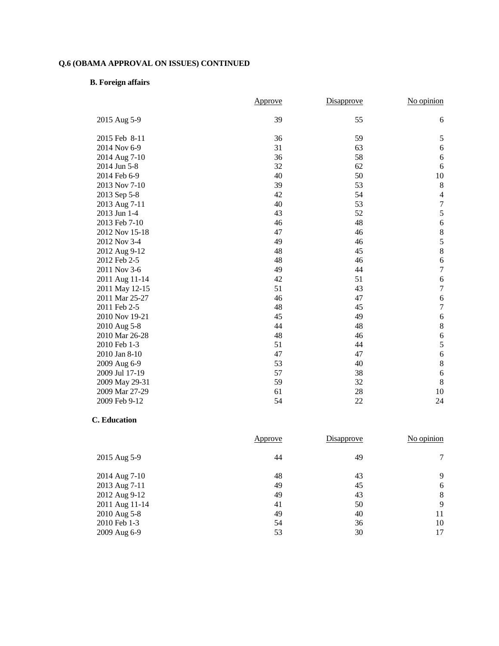# **B. Foreign affairs**

|                | <b>Approve</b> | Disapprove | No opinion       |
|----------------|----------------|------------|------------------|
| 2015 Aug 5-9   | 39             | 55         | 6                |
| 2015 Feb 8-11  | 36             | 59         | 5                |
| 2014 Nov 6-9   | 31             | 63         | $\sqrt{6}$       |
| 2014 Aug 7-10  | 36             | 58         | 6                |
| 2014 Jun 5-8   | 32             | 62         | 6                |
| 2014 Feb 6-9   | 40             | 50         | 10               |
| 2013 Nov 7-10  | 39             | 53         | $\,8\,$          |
| 2013 Sep 5-8   | 42             | 54         | $\overline{4}$   |
| 2013 Aug 7-11  | 40             | 53         | $\boldsymbol{7}$ |
| 2013 Jun 1-4   | 43             | 52         | 5                |
| 2013 Feb 7-10  | 46             | 48         | 6                |
| 2012 Nov 15-18 | 47             | 46         | $\,$ 8 $\,$      |
| 2012 Nov 3-4   | 49             | 46         | 5                |
| 2012 Aug 9-12  | 48             | 45         | $\boldsymbol{8}$ |
| 2012 Feb 2-5   | 48             | 46         | $\sqrt{6}$       |
| 2011 Nov 3-6   | 49             | 44         | $\boldsymbol{7}$ |
| 2011 Aug 11-14 | 42             | 51         | $\boldsymbol{6}$ |
| 2011 May 12-15 | 51             | 43         | $\overline{7}$   |
| 2011 Mar 25-27 | 46             | 47         | $\sqrt{6}$       |
| 2011 Feb 2-5   | 48             | 45         | $\boldsymbol{7}$ |
| 2010 Nov 19-21 | 45             | 49         | $\sqrt{6}$       |
| 2010 Aug 5-8   | 44             | 48         | $\,8\,$          |
| 2010 Mar 26-28 | 48             | 46         | 6                |
| 2010 Feb 1-3   | 51             | 44         | 5                |
| 2010 Jan 8-10  | 47             | 47         | 6                |
| 2009 Aug 6-9   | 53             | 40         | $\,8\,$          |
| 2009 Jul 17-19 | 57             | 38         | 6                |
| 2009 May 29-31 | 59             | 32         | $\,8\,$          |
| 2009 Mar 27-29 | 61             | 28         | 10               |
| 2009 Feb 9-12  | 54             | 22         | 24               |

## **C. Education**

|                | Approve | Disapprove | No opinion |
|----------------|---------|------------|------------|
| 2015 Aug 5-9   | 44      | 49         |            |
| 2014 Aug 7-10  | 48      | 43         | 9          |
| 2013 Aug 7-11  | 49      | 45         | 6          |
| 2012 Aug 9-12  | 49      | 43         | 8          |
| 2011 Aug 11-14 | 41      | 50         | 9          |
| 2010 Aug 5-8   | 49      | 40         | 11         |
| 2010 Feb 1-3   | 54      | 36         | 10         |
| 2009 Aug 6-9   | 53      | 30         | 17         |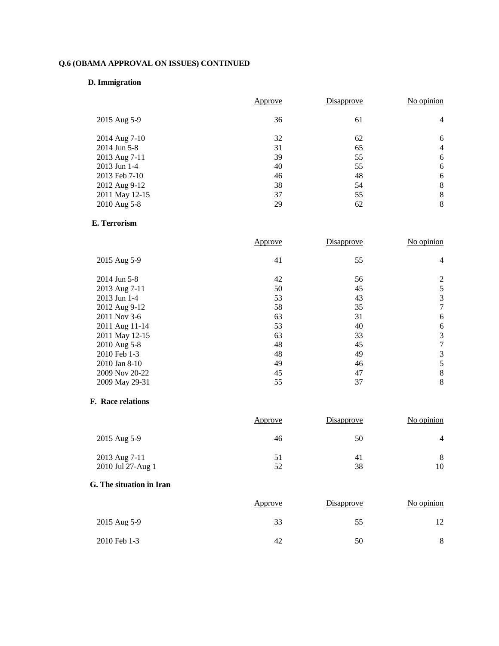### **D. Immigration**

|                | Approve | Disapprove | No opinion     |
|----------------|---------|------------|----------------|
| 2015 Aug 5-9   | 36      | 61         | 4              |
| 2014 Aug 7-10  | 32      | 62         | 6              |
| 2014 Jun 5-8   | 31      | 65         | $\overline{4}$ |
| 2013 Aug 7-11  | 39      | 55         | 6              |
| 2013 Jun 1-4   | 40      | 55         | 6              |
| 2013 Feb 7-10  | 46      | 48         | 6              |
| 2012 Aug 9-12  | 38      | 54         | 8              |
| 2011 May 12-15 | 37      | 55         | 8              |
| 2010 Aug 5-8   | 29      | 62         | 8              |

#### **E. Terrorism**

|                | Approve | <b>Disapprove</b> | No opinion     |
|----------------|---------|-------------------|----------------|
| 2015 Aug 5-9   | 41      | 55                | $\overline{4}$ |
| 2014 Jun 5-8   | 42      | 56                | 2              |
| 2013 Aug 7-11  | 50      | 45                | 5              |
| 2013 Jun 1-4   | 53      | 43                | 3              |
| 2012 Aug 9-12  | 58      | 35                | 7              |
| 2011 Nov 3-6   | 63      | 31                | 6              |
| 2011 Aug 11-14 | 53      | 40                | 6              |
| 2011 May 12-15 | 63      | 33                | 3              |
| 2010 Aug 5-8   | 48      | 45                | 7              |
| 2010 Feb 1-3   | 48      | 49                | 3              |
| 2010 Jan 8-10  | 49      | 46                | 5              |
| 2009 Nov 20-22 | 45      | 47                | 8              |
| 2009 May 29-31 | 55      | 37                | 8              |

### **F. Race relations**

|                                    | Approve  | <b>Disapprove</b> | No opinion |
|------------------------------------|----------|-------------------|------------|
| 2015 Aug 5-9                       | 46       | 50                | 4          |
| 2013 Aug 7-11<br>2010 Jul 27-Aug 1 | 51<br>52 | 41<br>38          | 8<br>10    |

# **G. The situation in Iran**

|              | Approve | <b>Disapprove</b> | No opinion |
|--------------|---------|-------------------|------------|
| 2015 Aug 5-9 | 33      | 55                | 12         |
| 2010 Feb 1-3 | 42      | 50                | 8          |